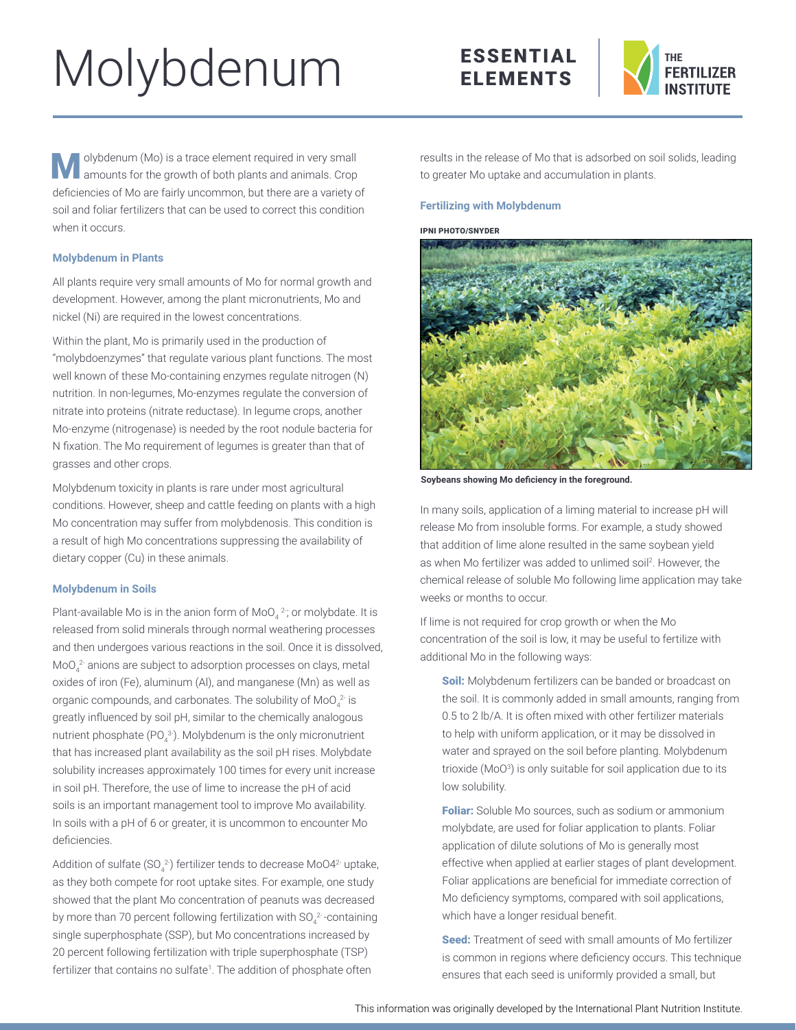# Molybdenum





olybdenum (Mo) is a trace element required in very small amounts for the growth of both plants and animals. Crop deficiencies of Mo are fairly uncommon, but there are a variety of soil and foliar fertilizers that can be used to correct this condition when it occurs.

### **Molybdenum in Plants**

All plants require very small amounts of Mo for normal growth and development. However, among the plant micronutrients, Mo and nickel (Ni) are required in the lowest concentrations.

Within the plant, Mo is primarily used in the production of "molybdoenzymes" that regulate various plant functions. The most well known of these Mo-containing enzymes regulate nitrogen (N) nutrition. In non-legumes, Mo-enzymes regulate the conversion of nitrate into proteins (nitrate reductase). In legume crops, another Mo-enzyme (nitrogenase) is needed by the root nodule bacteria for N fixation. The Mo requirement of legumes is greater than that of grasses and other crops.

Molybdenum toxicity in plants is rare under most agricultural conditions. However, sheep and cattle feeding on plants with a high Mo concentration may suffer from molybdenosis. This condition is a result of high Mo concentrations suppressing the availability of dietary copper (Cu) in these animals.

# **Molybdenum in Soils**

Plant-available Mo is in the anion form of MoO $_4$   $^2$ ; or molybdate. It is released from solid minerals through normal weathering processes and then undergoes various reactions in the soil. Once it is dissolved,  $\mathsf{MoO_4}^2$  anions are subject to adsorption processes on clays, metal oxides of iron (Fe), aluminum (Al), and manganese (Mn) as well as organic compounds, and carbonates. The solubility of MoO $_4^{\,2\cdot}$  is greatly influenced by soil pH, similar to the chemically analogous nutrient phosphate (PO $_4^3$ ). Molybdenum is the only micronutrient that has increased plant availability as the soil pH rises. Molybdate solubility increases approximately 100 times for every unit increase in soil pH. Therefore, the use of lime to increase the pH of acid soils is an important management tool to improve Mo availability. In soils with a pH of 6 or greater, it is uncommon to encounter Mo deficiencies.

Addition of sulfate (SO $_4^2$ ) fertilizer tends to decrease MoO4 $^2$  uptake, as they both compete for root uptake sites. For example, one study showed that the plant Mo concentration of peanuts was decreased by more than 70 percent following fertilization with SO<sub>4</sub><sup>2</sup>-containing single superphosphate (SSP), but Mo concentrations increased by 20 percent following fertilization with triple superphosphate (TSP) fertilizer that contains no sulfate<sup>1</sup>. The addition of phosphate often

results in the release of Mo that is adsorbed on soil solids, leading to greater Mo uptake and accumulation in plants.

## **Fertilizing with Molybdenum**

#### IPNI PHOTO/SNYDER



**Soybeans showing Mo deficiency in the foreground.**

In many soils, application of a liming material to increase pH will release Mo from insoluble forms. For example, a study showed that addition of lime alone resulted in the same soybean yield as when Mo fertilizer was added to unlimed soil<sup>2</sup>. However, the chemical release of soluble Mo following lime application may take weeks or months to occur.

If lime is not required for crop growth or when the Mo concentration of the soil is low, it may be useful to fertilize with additional Mo in the following ways:

Soil: Molybdenum fertilizers can be banded or broadcast on the soil. It is commonly added in small amounts, ranging from 0.5 to 2 lb/A. It is often mixed with other fertilizer materials to help with uniform application, or it may be dissolved in water and sprayed on the soil before planting. Molybdenum trioxide (MoO<sup>3</sup>) is only suitable for soil application due to its low solubility.

Foliar: Soluble Mo sources, such as sodium or ammonium molybdate, are used for foliar application to plants. Foliar application of dilute solutions of Mo is generally most effective when applied at earlier stages of plant development. Foliar applications are beneficial for immediate correction of Mo deficiency symptoms, compared with soil applications, which have a longer residual benefit.

Seed: Treatment of seed with small amounts of Mo fertilizer is common in regions where deficiency occurs. This technique ensures that each seed is uniformly provided a small, but